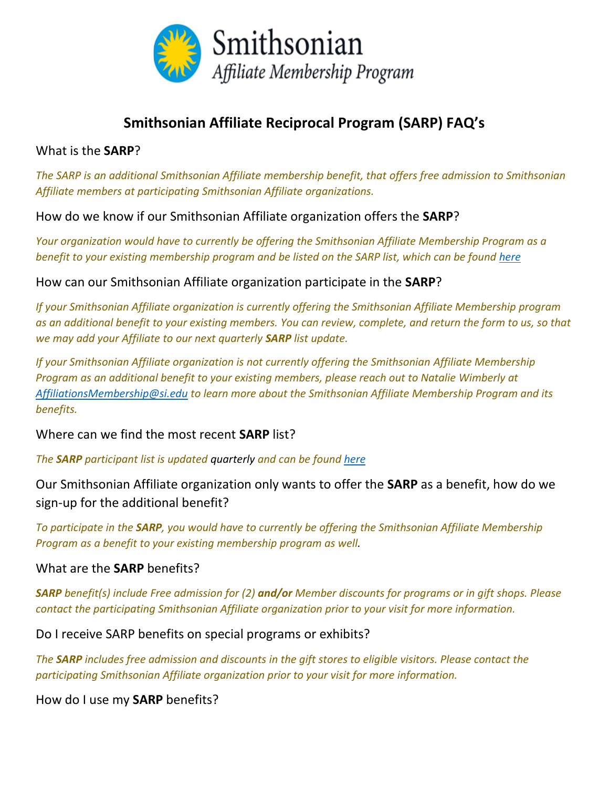

# **Smithsonian Affiliate Reciprocal Program (SARP) FAQ's**

#### What is the **SARP**?

*The SARP is an additional Smithsonian Affiliate membership benefit, that offers free admission to Smithsonian Affiliate members at participating Smithsonian Affiliate organizations.* 

How do we know if our Smithsonian Affiliate organization offers the **SARP**?

*Your organization would have to currently be offering the Smithsonian Affiliate Membership Program as a benefit to your existing membership program and be listed on the SARP list, which can be found [here](https://affiliations.si.edu/affiliate-benefits/membership/affiliate-reciprocal-membership/)*

How can our Smithsonian Affiliate organization participate in the **SARP**?

*If your Smithsonian Affiliate organization is currently offering the Smithsonian Affiliate Membership program as an additional benefit to your existing members. You can review, complete, and return the form to us, so that we may add your Affiliate to our next quarterly SARP list update.* 

*If your Smithsonian Affiliate organization is not currently offering the Smithsonian Affiliate Membership Program as an additional benefit to your existing members, please reach out to Natalie Wimberly at [AffiliationsMembership@si.edu](mailto:AffiliationsMembership@si.edu) to learn more about the Smithsonian Affiliate Membership Program and its benefits.* 

Where can we find the most recent **SARP** list?

*The SARP participant list is updated quarterly and can be found [here](https://affiliations.si.edu/affiliate-benefits/membership/affiliate-reciprocal-membership/)*

Our Smithsonian Affiliate organization only wants to offer the **SARP** as a benefit, how do we sign-up for the additional benefit?

*To participate in the SARP, you would have to currently be offering the Smithsonian Affiliate Membership Program as a benefit to your existing membership program as well.* 

#### What are the **SARP** benefits?

*SARP benefit(s) include Free admission for (2) and/or Member discounts for programs or in gift shops. Please contact the participating Smithsonian Affiliate organization prior to your visit for more information.* 

Do I receive SARP benefits on special programs or exhibits?

*The SARP includes free admission and discounts in the gift stores to eligible visitors. Please contact the participating Smithsonian Affiliate organization prior to your visit for more information.* 

How do I use my **SARP** benefits?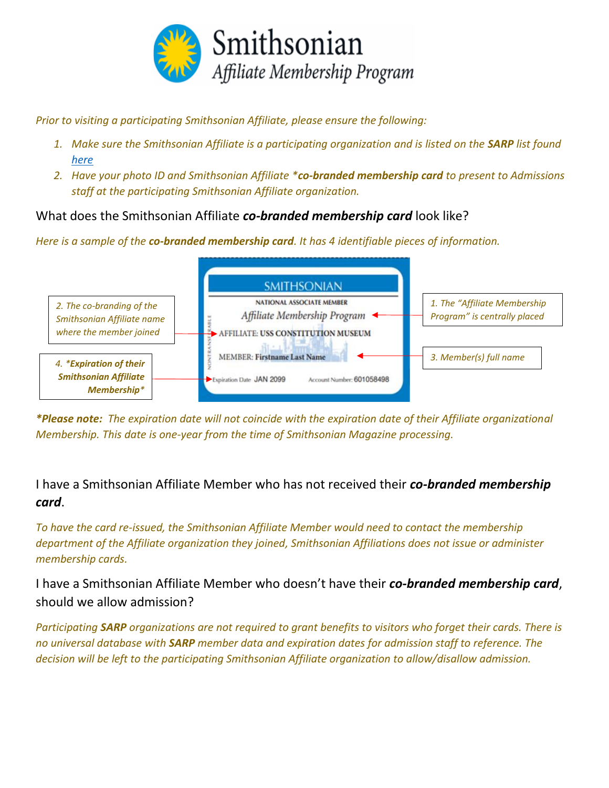

*Prior to visiting a participating Smithsonian Affiliate, please ensure the following:*

- 1. Make sure the Smithsonian Affiliate is a participating organization and is listed on the **SARP** list found *[here](https://affiliations.si.edu/affiliate-benefits/membership/affiliate-reciprocal-membership/)*
- *2. Have your photo ID and Smithsonian Affiliate \*co-branded membership card to present to Admissions staff at the participating Smithsonian Affiliate organization.*

## What does the Smithsonian Affiliate *co-branded membership card* look like?

*Here is a sample of the co-branded membership card. It has 4 identifiable pieces of information.* 



*\*Please note: The expiration date will not coincide with the expiration date of their Affiliate organizational Membership. This date is one-year from the time of Smithsonian Magazine processing.*

# I have a Smithsonian Affiliate Member who has not received their *co-branded membership card*.

*To have the card re-issued, the Smithsonian Affiliate Member would need to contact the membership department of the Affiliate organization they joined, Smithsonian Affiliations does not issue or administer membership cards.* 

I have a Smithsonian Affiliate Member who doesn't have their *co-branded membership card*, should we allow admission?

*Participating SARP organizations are not required to grant benefits to visitors who forget their cards. There is no universal database with SARP member data and expiration dates for admission staff to reference. The decision will be left to the participating Smithsonian Affiliate organization to allow/disallow admission.*